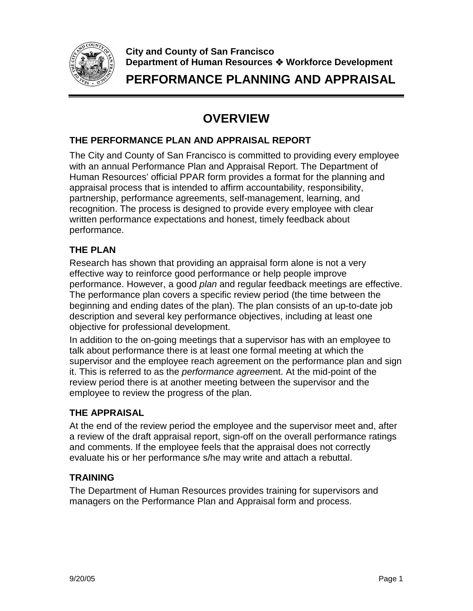

**City and County of San Francisco Department of Human Resources Workforce Development** 

**PERFORMANCE PLANNING AND APPRAISAL**

# **OVERVIEW**

#### **THE PERFORMANCE PLAN AND APPRAISAL REPORT**

The City and County of San Francisco is committed to providing every employee with an annual Performance Plan and Appraisal Report. The Department of Human Resources' official PPAR form provides a format for the planning and appraisal process that is intended to affirm accountability, responsibility, partnership, performance agreements, self-management, learning, and recognition. The process is designed to provide every employee with clear written performance expectations and honest, timely feedback about performance.

### **THE PLAN**

Research has shown that providing an appraisal form alone is not a very effective way to reinforce good performance or help people improve performance. However, a good plan and regular feedback meetings are effective. The performance plan covers a specific review period (the time between the beginning and ending dates of the plan). The plan consists of an up-to-date job description and several key performance objectives, including at least one objective for professional development.

In addition to the on-going meetings that a supervisor has with an employee to talk about performance there is at least one formal meeting at which the supervisor and the employee reach agreement on the performance plan and sign it. This is referred to as the performance agreement. At the mid-point of the review period there is at another meeting between the supervisor and the employee to review the progress of the plan.

#### **THE APPRAISAL**

At the end of the review period the employee and the supervisor meet and, after a review of the draft appraisal report, sign-off on the overall performance ratings and comments. If the employee feels that the appraisal does not correctly evaluate his or her performance s/he may write and attach a rebuttal.

## **TRAINING**

The Department of Human Resources provides training for supervisors and managers on the Performance Plan and Appraisal form and process.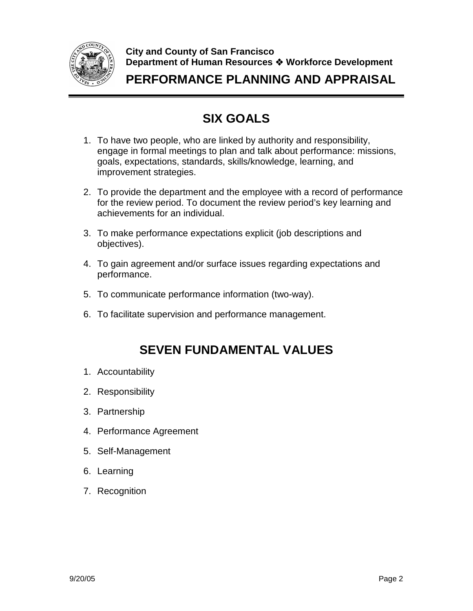

**City and County of San Francisco Department of Human Resources Workforce Development** 

**PERFORMANCE PLANNING AND APPRAISAL**

# **SIX GOALS**

- 1. To have two people, who are linked by authority and responsibility, engage in formal meetings to plan and talk about performance: missions, goals, expectations, standards, skills/knowledge, learning, and improvement strategies.
- 2. To provide the department and the employee with a record of performance for the review period. To document the review period's key learning and achievements for an individual.
- 3. To make performance expectations explicit (job descriptions and objectives).
- 4. To gain agreement and/or surface issues regarding expectations and performance.
- 5. To communicate performance information (two-way).
- 6. To facilitate supervision and performance management.

## **SEVEN FUNDAMENTAL VALUES**

- 1. Accountability
- 2. Responsibility
- 3. Partnership
- 4. Performance Agreement
- 5. Self-Management
- 6. Learning
- 7. Recognition